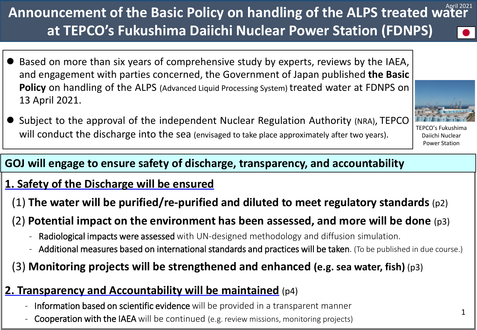### will conduct the discharge into the sea (envisaged to take place approximately after two years). TEPCO's Fukushima

### **GOJ will engage to ensure safety of discharge, transparency, and accountability**

#### **1. Safety of the Discharge will be ensured**

(1) **The water will be purified/re-purified and diluted to meet regulatory standards** (p2)

### (2) **Potential impact on the environment has been assessed, and more will be done** (p3)

- Radiological impacts were assessed with UN-designed methodology and diffusion simulation.
- Additional measures based on international standards and practices will be taken. (To be published in due course.)

# (3) **Monitoring projects will be strengthened and enhanced (e.g. sea water, fish)** (p3)

### **2. Transparency and Accountability will be maintained** (p4)

- Information based on scientific evidence will be provided in a transparent manner
- Cooperation with the IAEA will be continued (e.g. review missions, monitoring projects)

# Announcement of the Basic Policy on handling of the ALPS treated water<sup>April 2021</sup> **at TEPCO's Fukushima Daiichi Nuclear Power Station (FDNPS)**

- Based on more than six years of comprehensive study by experts, reviews by the IAEA, and engagement with parties concerned, the Government of Japan published **the Basic Policy** on handling of the ALPS (Advanced Liquid Processing System) treated water at FDNPS on 13 April 2021.
- Subject to the approval of the independent Nuclear Regulation Authority (NRA), TEPCO

Daiichi Nuclear Power Station

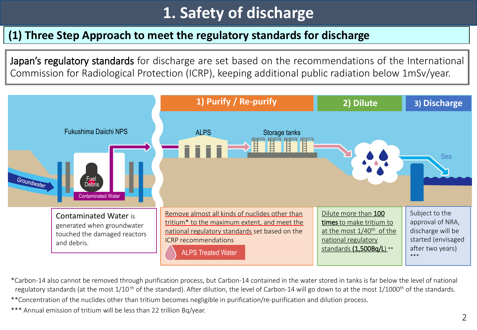# **1. Safety of discharge**

#### **(1) Three Step Approach to meet the regulatory standards for discharge**

Japan's regulatory standards for discharge are set based on the recommendations of the International Commission for Radiological Protection (ICRP), keeping additional public radiation below 1mSv/year.



\*Carbon-14 also cannot be removed through purification process, but Carbon-14 contained in the water stored in tanks is far below the level of national regulatory standards (at the most  $1/10$ <sup>th</sup> of the standard). After dilution, the level of Carbon-14 will go down to at the most  $1/1000$ <sup>th</sup> of the standards.

\*\*Concentration of the nuclides other than tritium becomes negligible in purification/re-purification and dilution process.

\*\*\* Annual emission of tritium will be less than 22 trillion Bq/year.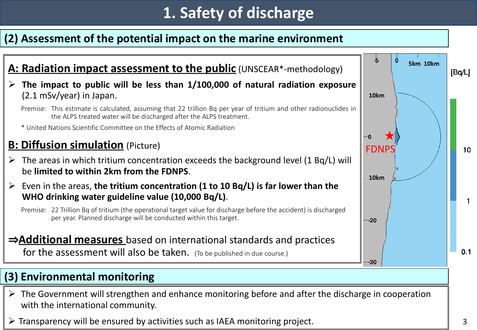# **1. Safety of discharge**

#### **(2) Assessment of the potential impact on the marine environment**



- $\triangleright$  The Government will strengthen and enhance monitoring before and after the discharge in cooperation with the international community.
- $\triangleright$  Transparency will be ensured by activities such as IAEA monitoring project.